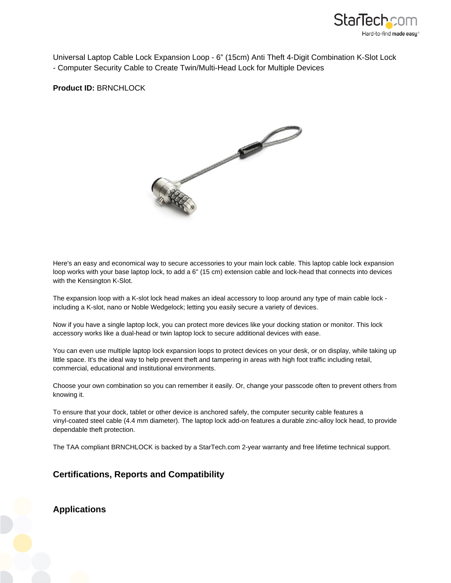

Universal Laptop Cable Lock Expansion Loop - 6" (15cm) Anti Theft 4-Digit Combination K-Slot Lock - Computer Security Cable to Create Twin/Multi-Head Lock for Multiple Devices

**Product ID:** BRNCHLOCK



Here's an easy and economical way to secure accessories to your main lock cable. This laptop cable lock expansion loop works with your base laptop lock, to add a 6" (15 cm) extension cable and lock-head that connects into devices with the Kensington K-Slot.

The expansion loop with a K-slot lock head makes an ideal accessory to loop around any type of main cable lock including a K-slot, nano or Noble Wedgelock; letting you easily secure a variety of devices.

Now if you have a single laptop lock, you can protect more devices like your docking station or monitor. This lock accessory works like a dual-head or twin laptop lock to secure additional devices with ease.

You can even use multiple laptop lock expansion loops to protect devices on your desk, or on display, while taking up little space. It's the ideal way to help prevent theft and tampering in areas with high foot traffic including retail, commercial, educational and institutional environments.

Choose your own combination so you can remember it easily. Or, change your passcode often to prevent others from knowing it.

To ensure that your dock, tablet or other device is anchored safely, the computer security cable features a vinyl-coated steel cable (4.4 mm diameter). The laptop lock add-on features a durable zinc-alloy lock head, to provide dependable theft protection.

The TAA compliant BRNCHLOCK is backed by a StarTech.com 2-year warranty and free lifetime technical support.

## **Certifications, Reports and Compatibility**

**Applications**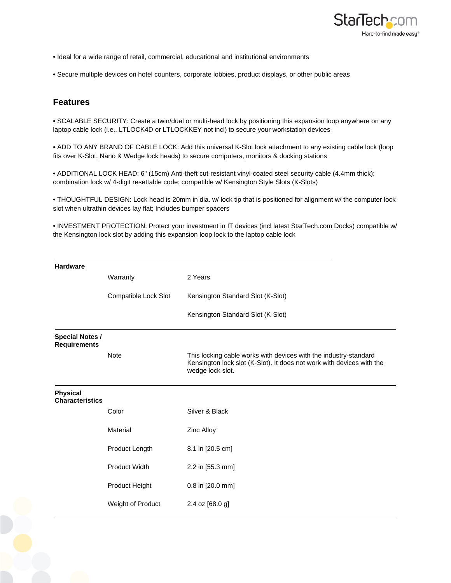

- Ideal for a wide range of retail, commercial, educational and institutional environments
- Secure multiple devices on hotel counters, corporate lobbies, product displays, or other public areas

## **Features**

• SCALABLE SECURITY: Create a twin/dual or multi-head lock by positioning this expansion loop anywhere on any laptop cable lock (i.e.. LTLOCK4D or LTLOCKKEY not incl) to secure your workstation devices

• ADD TO ANY BRAND OF CABLE LOCK: Add this universal K-Slot lock attachment to any existing cable lock (loop fits over K-Slot, Nano & Wedge lock heads) to secure computers, monitors & docking stations

• ADDITIONAL LOCK HEAD: 6" (15cm) Anti-theft cut-resistant vinyl-coated steel security cable (4.4mm thick); combination lock w/ 4-digit resettable code; compatible w/ Kensington Style Slots (K-Slots)

• THOUGHTFUL DESIGN: Lock head is 20mm in dia. w/ lock tip that is positioned for alignment w/ the computer lock slot when ultrathin devices lay flat; Includes bumper spacers

• INVESTMENT PROTECTION: Protect your investment in IT devices (incl latest StarTech.com Docks) compatible w/ the Kensington lock slot by adding this expansion loop lock to the laptop cable lock

| <b>Hardware</b>                               |                      |                                                                                                                                                               |
|-----------------------------------------------|----------------------|---------------------------------------------------------------------------------------------------------------------------------------------------------------|
|                                               | Warranty             | 2 Years                                                                                                                                                       |
|                                               | Compatible Lock Slot | Kensington Standard Slot (K-Slot)                                                                                                                             |
|                                               |                      | Kensington Standard Slot (K-Slot)                                                                                                                             |
| <b>Special Notes /</b><br><b>Requirements</b> |                      |                                                                                                                                                               |
|                                               | <b>Note</b>          | This locking cable works with devices with the industry-standard<br>Kensington lock slot (K-Slot). It does not work with devices with the<br>wedge lock slot. |
| <b>Physical</b><br><b>Characteristics</b>     |                      |                                                                                                                                                               |
|                                               | Color                | Silver & Black                                                                                                                                                |
|                                               | Material             | Zinc Alloy                                                                                                                                                    |
|                                               | Product Length       | 8.1 in [20.5 cm]                                                                                                                                              |
|                                               | <b>Product Width</b> | 2.2 in [55.3 mm]                                                                                                                                              |
|                                               | Product Height       | 0.8 in [20.0 mm]                                                                                                                                              |
|                                               | Weight of Product    | 2.4 oz [68.0 g]                                                                                                                                               |